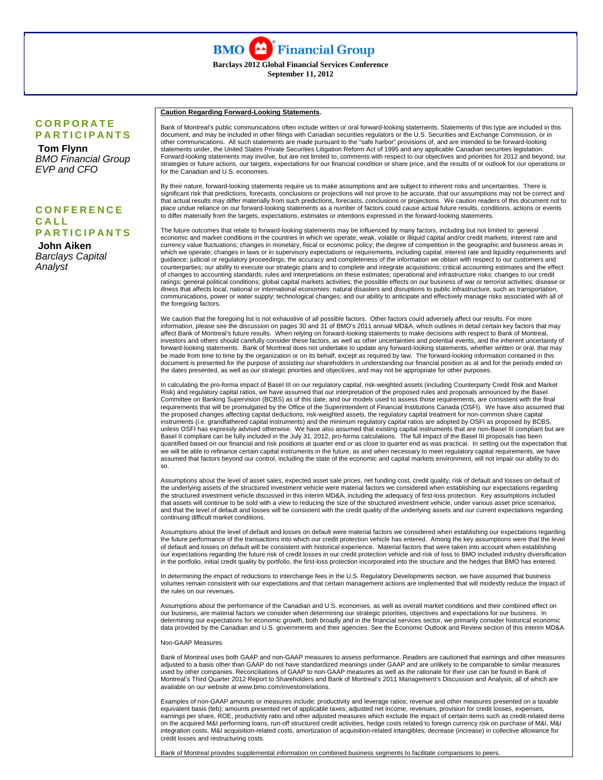

## **September 11, 2012**

**Caution Regarding Forward-Looking Statements.** 

## **CORPORATE PARTICIPANTS**

 **Tom Flynn** *BMO Financial Group EVP and CFO* 

#### **CONFERENCE CALL PARTICIPANTS**

 **John Aiken** *Barclays Capital Analyst* 

Bank of Montreal's public communications often include written or oral forward-looking statements. Statements of this type are included in this document, and may be included in other filings with Canadian securities regulators or the U.S. Securities and Exchange Commission, or in other communications. All such statements are made pursuant to the "safe harbor" provisions of, and are intended to be forward-looking<br>statements under, the United States Private Securities Litigation Reform Act of 1995 an Forward-looking statements may involve, but are not limited to, comments with respect to our objectives and priorities for 2012 and beyond, our strategies or future actions, our targets, expectations for our financial condition or share price, and the results of or outlook for our operations or for the Canadian and U.S. economies.

By their nature, forward-looking statements require us to make assumptions and are subject to inherent risks and uncertainties. There is significant risk that predictions, forecasts, conclusions or projections will not prove to be accurate, that our assumptions may not be correct and<br>that actual results may differ materially from such predictions, forecasts place undue reliance on our forward-looking statements as a number of factors could cause actual future results, conditions, actions or events to differ materially from the targets, expectations, estimates or intentions expressed in the forward-looking statements.

The future outcomes that relate to forward-looking statements may be influenced by many factors, including but not limited to: general economic and market conditions in the countries in which we operate; weak, volatile or illiquid capital and/or credit markets; interest rate and<br>currency value fluctuations; changes in monetary, fiscal or economic policy; which we operate; changes in laws or in supervisory expectations or requirements, including capital, interest rate and liquidity requirements and guidance; judicial or regulatory proceedings; the accuracy and completeness of the information we obtain with respect to our customers and counterparties; our ability to execute our strategic plans and to complete and integrate acquisitions; critical accounting estimates and the effect of changes to accounting standards, rules and interpretations on these estimates; operational and infrastructure risks; changes to our credit ratings; general political conditions; global capital markets activities; the possible effects on our business of war or terrorist activities; disease or illness that affects local, national or international economies; natural disasters and disruptions to public infrastructure, such as transportation, communications, power or water supply; technological changes; and our ability to anticipate and effectively manage risks associated with all of the foregoing factors.

We caution that the foregoing list is not exhaustive of all possible factors. Other factors could adversely affect our results. For more information, please see the discussion on pages 30 and 31 of BMO's 2011 annual MD&A, which outlines in detail certain key factors that may<br>affect Bank of Montreal's future results. When relying on forward-looking statement investors and others should carefully consider these factors, as well as other uncertainties and potential events, and the inherent uncertainty of forward-looking statements. Bank of Montreal does not undertake to update any forward-looking statements, whether written or oral, that may be made from time to time by the organization or on its behalf, except as required by law. The forward-looking information contained in this document is presented for the purpose of assisting our shareholders in understanding our financial position as at and for the periods ended on the dates presented, as well as our strategic priorities and objectives, and may not be appropriate for other purposes.

In calculating the pro-forma impact of Basel III on our regulatory capital, risk-weighted assets (including Counterparty Credit Risk and Market Risk) and regulatory capital ratios, we have assumed that our interpretation of the proposed rules and proposals announced by the Basel Committee on Banking Supervision (BCBS) as of this date, and our models used to assess those requirements, are consistent with the final requirements that will be promulgated by the Office of the Superintendent of Financial Institutions Canada (OSFI). We have also assumed that the proposed changes affecting capital deductions, risk-weighted assets, the regulatory capital treatment for non-common share capital<br>instruments (i.e. grandfathered capital instruments) and the minimum regulatory capital unless OSFI has expressly advised otherwise. We have also assumed that existing capital instruments that are non-Basel III compliant but are<br>Basel II compliant can be fully included in the July 31, 2012, pro-forma calculat quantified based on our financial and risk positions at quarter end or as close to quarter end as was practical. In setting out the expectation that we will be able to refinance certain capital instruments in the future, as and when necessary to meet regulatory capital requirements, we have assumed that factors beyond our control, including the state of the economic and capital markets environment, will not impair our ability to do so.

Assumptions about the level of asset sales, expected asset sale prices, net funding cost, credit quality, risk of default and losses on default of the underlying assets of the structured investment vehicle were material factors we considered when establishing our expectations regarding the structured investment vehicle discussed in this interim MD&A, including the adequacy of first-loss protection. Key assumptions included that assets will continue to be sold with a view to reducing the size of the structured investment vehicle, under various asset price scenarios, and that the level of default and losses will be consistent with the credit quality of the underlying assets and our current expectations regarding continuing difficult market conditions.

Assumptions about the level of default and losses on default were material factors we considered when establishing our expectations regarding the future performance of the transactions into which our credit protection vehicle has entered. Among the key assumptions were that the level of default and losses on default will be consistent with historical experience. Material factors that were taken into account when establishing<br>our expectations regarding the future risk of credit losses in our credit prot in the portfolio, initial credit quality by portfolio, the first-loss protection incorporated into the structure and the hedges that BMO has entered.

In determining the impact of reductions to interchange fees in the U.S. Regulatory Developments section, we have assumed that business volumes remain consistent with our expectations and that certain management actions are implemented that will modestly reduce the impact of the rules on our revenues.

Assumptions about the performance of the Canadian and U.S. economies, as well as overall market conditions and their combined effect on our business, are material factors we consider when determining our strategic priorities, objectives and expectations for our business. In determining our expectations for economic growth, both broadly and in the financial services sector, we primarily consider historical economic data provided by the Canadian and U.S. governments and their agencies. See the Economic Outlook and Review section of this interim MD&A.

#### Non-GAAP Measures

Bank of Montreal uses both GAAP and non-GAAP measures to assess performance. Readers are cautioned that earnings and other measures adjusted to a basis other than GAAP do not have standardized meanings under GAAP and are unlikely to be comparable to similar measures used by other companies. Reconciliations of GAAP to non-GAAP measures as well as the rationale for their use can be found in Bank of Montreal's Third Quarter 2012 Report to Shareholders and Bank of Montreal's 2011 Management's Discussion and Analysis, all of which are available on our website at www.bmo.com/investorrelations.

Examples of non-GAAP amounts or measures include: productivity and leverage ratios; revenue and other measures presented on a taxable equivalent basis (teb); amounts presented net of applicable taxes; adjusted net income, revenues, provision for credit losses, expenses, earnings per share, ROE, productivity ratio and other adjusted measures which exclude the impact of certain items such as credit-related items on the acquired M&I performing loans, run-off structured credit activities, hedge costs related to foreign currency risk on purchase of M&I, M&I integration costs, M&I acquisition-related costs, amortization of acquisition-related intangibles, decrease (increase) in collective allowance for credit losses and restructuring costs.

Bank of Montreal provides supplemental information on combined business segments to facilitate comparisons to peers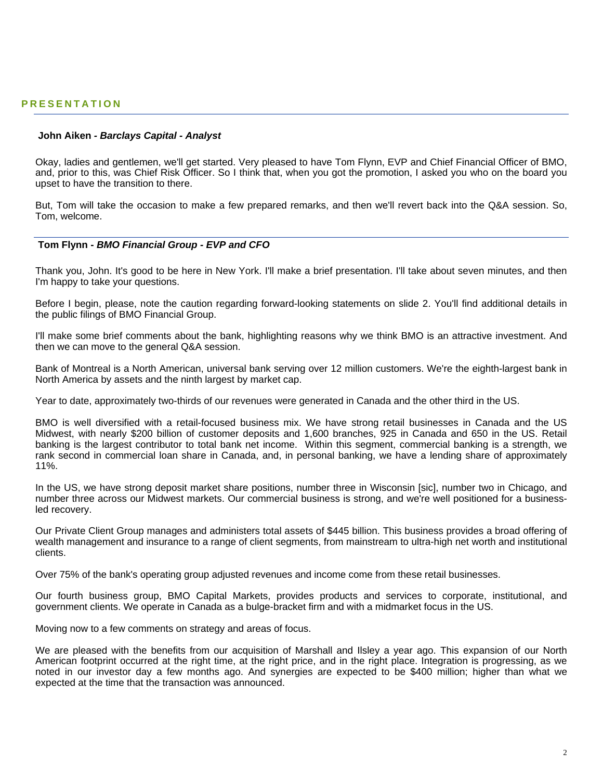#### **John Aiken** *- Barclays Capital - Analyst*

Okay, ladies and gentlemen, we'll get started. Very pleased to have Tom Flynn, EVP and Chief Financial Officer of BMO, and, prior to this, was Chief Risk Officer. So I think that, when you got the promotion, I asked you who on the board you upset to have the transition to there.

But, Tom will take the occasion to make a few prepared remarks, and then we'll revert back into the Q&A session. So, Tom, welcome.

## **Tom Flynn -** *BMO Financial Group - EVP and CFO*

Thank you, John. It's good to be here in New York. I'll make a brief presentation. I'll take about seven minutes, and then I'm happy to take your questions.

Before I begin, please, note the caution regarding forward-looking statements on slide 2. You'll find additional details in the public filings of BMO Financial Group.

I'll make some brief comments about the bank, highlighting reasons why we think BMO is an attractive investment. And then we can move to the general Q&A session.

Bank of Montreal is a North American, universal bank serving over 12 million customers. We're the eighth-largest bank in North America by assets and the ninth largest by market cap.

Year to date, approximately two-thirds of our revenues were generated in Canada and the other third in the US.

BMO is well diversified with a retail-focused business mix. We have strong retail businesses in Canada and the US Midwest, with nearly \$200 billion of customer deposits and 1,600 branches, 925 in Canada and 650 in the US. Retail banking is the largest contributor to total bank net income. Within this segment, commercial banking is a strength, we rank second in commercial loan share in Canada, and, in personal banking, we have a lending share of approximately 11%.

In the US, we have strong deposit market share positions, number three in Wisconsin [sic], number two in Chicago, and number three across our Midwest markets. Our commercial business is strong, and we're well positioned for a businessled recovery.

Our Private Client Group manages and administers total assets of \$445 billion. This business provides a broad offering of wealth management and insurance to a range of client segments, from mainstream to ultra-high net worth and institutional clients.

Over 75% of the bank's operating group adjusted revenues and income come from these retail businesses.

Our fourth business group, BMO Capital Markets, provides products and services to corporate, institutional, and government clients. We operate in Canada as a bulge-bracket firm and with a midmarket focus in the US.

Moving now to a few comments on strategy and areas of focus.

We are pleased with the benefits from our acquisition of Marshall and Ilsley a year ago. This expansion of our North American footprint occurred at the right time, at the right price, and in the right place. Integration is progressing, as we noted in our investor day a few months ago. And synergies are expected to be \$400 million; higher than what we expected at the time that the transaction was announced.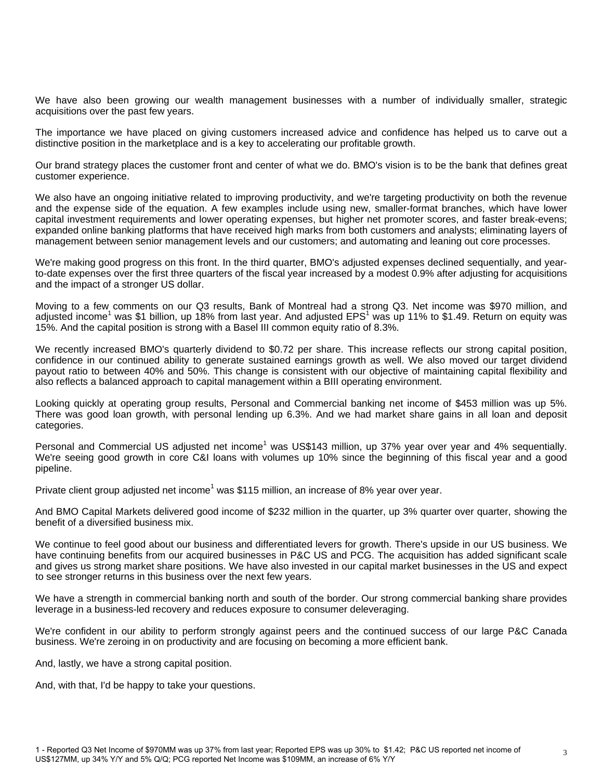We have also been growing our wealth management businesses with a number of individually smaller, strategic acquisitions over the past few years.

The importance we have placed on giving customers increased advice and confidence has helped us to carve out a distinctive position in the marketplace and is a key to accelerating our profitable growth.

Our brand strategy places the customer front and center of what we do. BMO's vision is to be the bank that defines great customer experience.

We also have an ongoing initiative related to improving productivity, and we're targeting productivity on both the revenue and the expense side of the equation. A few examples include using new, smaller-format branches, which have lower capital investment requirements and lower operating expenses, but higher net promoter scores, and faster break-evens; expanded online banking platforms that have received high marks from both customers and analysts; eliminating layers of management between senior management levels and our customers; and automating and leaning out core processes.

We're making good progress on this front. In the third quarter, BMO's adjusted expenses declined sequentially, and yearto-date expenses over the first three quarters of the fiscal year increased by a modest 0.9% after adjusting for acquisitions and the impact of a stronger US dollar.

Moving to a few comments on our Q3 results, Bank of Montreal had a strong Q3. Net income was \$970 million, and adjusted income<sup>1</sup> was \$1 billion, up 18% from last year. And adjusted EPS<sup>1</sup> was up 11% to \$1.49. Return on equity was 15%. And the capital position is strong with a Basel III common equity ratio of 8.3%.

We recently increased BMO's quarterly dividend to \$0.72 per share. This increase reflects our strong capital position, confidence in our continued ability to generate sustained earnings growth as well. We also moved our target dividend payout ratio to between 40% and 50%. This change is consistent with our objective of maintaining capital flexibility and also reflects a balanced approach to capital management within a BIII operating environment.

Looking quickly at operating group results, Personal and Commercial banking net income of \$453 million was up 5%. There was good loan growth, with personal lending up 6.3%. And we had market share gains in all loan and deposit categories.

Personal and Commercial US adjusted net income<sup>1</sup> was US\$143 million, up 37% year over year and 4% sequentially. We're seeing good growth in core C&I loans with volumes up 10% since the beginning of this fiscal year and a good pipeline.

Private client group adjusted net income<sup>1</sup> was \$115 million, an increase of 8% year over year.

And BMO Capital Markets delivered good income of \$232 million in the quarter, up 3% quarter over quarter, showing the benefit of a diversified business mix.

We continue to feel good about our business and differentiated levers for growth. There's upside in our US business. We have continuing benefits from our acquired businesses in P&C US and PCG. The acquisition has added significant scale and gives us strong market share positions. We have also invested in our capital market businesses in the US and expect to see stronger returns in this business over the next few years.

We have a strength in commercial banking north and south of the border. Our strong commercial banking share provides leverage in a business-led recovery and reduces exposure to consumer deleveraging.

We're confident in our ability to perform strongly against peers and the continued success of our large P&C Canada business. We're zeroing in on productivity and are focusing on becoming a more efficient bank.

And, lastly, we have a strong capital position.

And, with that, I'd be happy to take your questions.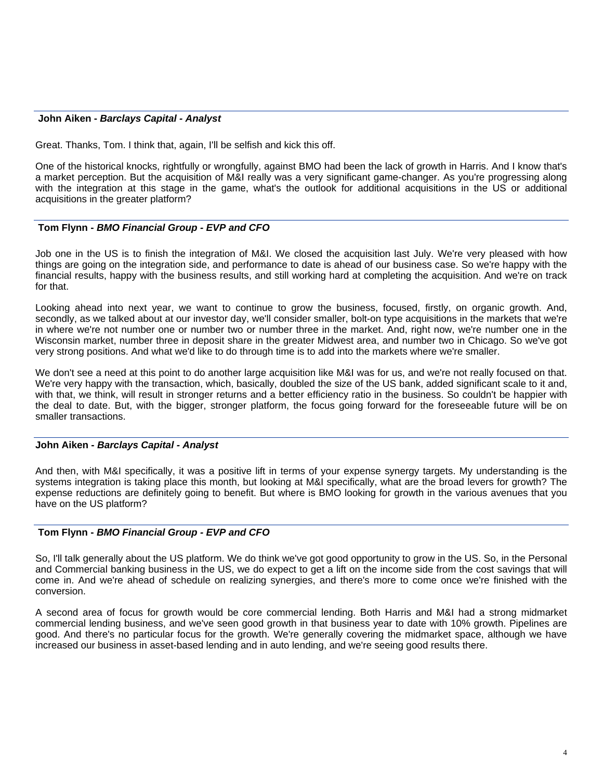## **John Aiken -** *Barclays Capital - Analyst*

Great. Thanks, Tom. I think that, again, I'll be selfish and kick this off.

One of the historical knocks, rightfully or wrongfully, against BMO had been the lack of growth in Harris. And I know that's a market perception. But the acquisition of M&I really was a very significant game-changer. As you're progressing along with the integration at this stage in the game, what's the outlook for additional acquisitions in the US or additional acquisitions in the greater platform?

## **Tom Flynn -** *BMO Financial Group - EVP and CFO*

Job one in the US is to finish the integration of M&I. We closed the acquisition last July. We're very pleased with how things are going on the integration side, and performance to date is ahead of our business case. So we're happy with the financial results, happy with the business results, and still working hard at completing the acquisition. And we're on track for that.

Looking ahead into next year, we want to continue to grow the business, focused, firstly, on organic growth. And, secondly, as we talked about at our investor day, we'll consider smaller, bolt-on type acquisitions in the markets that we're in where we're not number one or number two or number three in the market. And, right now, we're number one in the Wisconsin market, number three in deposit share in the greater Midwest area, and number two in Chicago. So we've got very strong positions. And what we'd like to do through time is to add into the markets where we're smaller.

We don't see a need at this point to do another large acquisition like M&I was for us, and we're not really focused on that. We're very happy with the transaction, which, basically, doubled the size of the US bank, added significant scale to it and, with that, we think, will result in stronger returns and a better efficiency ratio in the business. So couldn't be happier with the deal to date. But, with the bigger, stronger platform, the focus going forward for the foreseeable future will be on smaller transactions.

## **John Aiken -** *Barclays Capital - Analyst*

And then, with M&I specifically, it was a positive lift in terms of your expense synergy targets. My understanding is the systems integration is taking place this month, but looking at M&I specifically, what are the broad levers for growth? The expense reductions are definitely going to benefit. But where is BMO looking for growth in the various avenues that you have on the US platform?

# **Tom Flynn -** *BMO Financial Group - EVP and CFO*

So, I'll talk generally about the US platform. We do think we've got good opportunity to grow in the US. So, in the Personal and Commercial banking business in the US, we do expect to get a lift on the income side from the cost savings that will come in. And we're ahead of schedule on realizing synergies, and there's more to come once we're finished with the conversion.

A second area of focus for growth would be core commercial lending. Both Harris and M&I had a strong midmarket commercial lending business, and we've seen good growth in that business year to date with 10% growth. Pipelines are good. And there's no particular focus for the growth. We're generally covering the midmarket space, although we have increased our business in asset-based lending and in auto lending, and we're seeing good results there.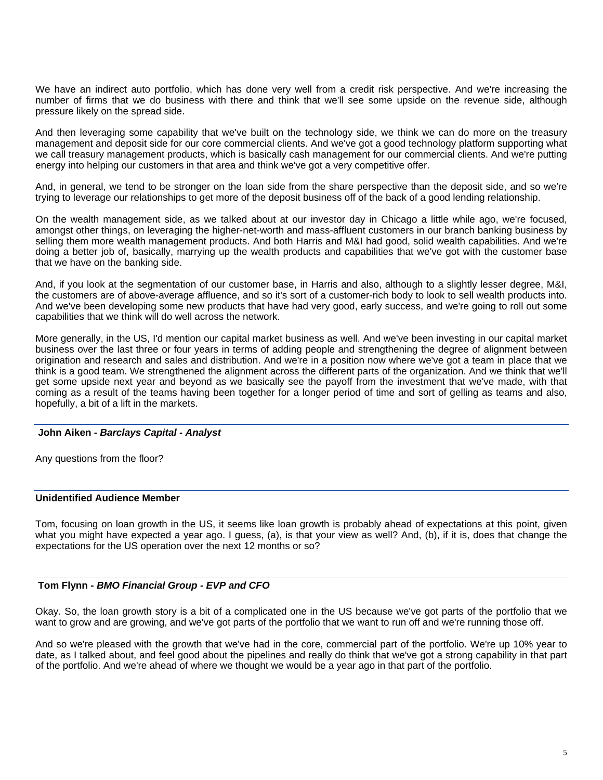We have an indirect auto portfolio, which has done very well from a credit risk perspective. And we're increasing the number of firms that we do business with there and think that we'll see some upside on the revenue side, although pressure likely on the spread side.

And then leveraging some capability that we've built on the technology side, we think we can do more on the treasury management and deposit side for our core commercial clients. And we've got a good technology platform supporting what we call treasury management products, which is basically cash management for our commercial clients. And we're putting energy into helping our customers in that area and think we've got a very competitive offer.

And, in general, we tend to be stronger on the loan side from the share perspective than the deposit side, and so we're trying to leverage our relationships to get more of the deposit business off of the back of a good lending relationship.

On the wealth management side, as we talked about at our investor day in Chicago a little while ago, we're focused, amongst other things, on leveraging the higher-net-worth and mass-affluent customers in our branch banking business by selling them more wealth management products. And both Harris and M&I had good, solid wealth capabilities. And we're doing a better job of, basically, marrying up the wealth products and capabilities that we've got with the customer base that we have on the banking side.

And, if you look at the segmentation of our customer base, in Harris and also, although to a slightly lesser degree, M&I, the customers are of above-average affluence, and so it's sort of a customer-rich body to look to sell wealth products into. And we've been developing some new products that have had very good, early success, and we're going to roll out some capabilities that we think will do well across the network.

More generally, in the US, I'd mention our capital market business as well. And we've been investing in our capital market business over the last three or four years in terms of adding people and strengthening the degree of alignment between origination and research and sales and distribution. And we're in a position now where we've got a team in place that we think is a good team. We strengthened the alignment across the different parts of the organization. And we think that we'll get some upside next year and beyond as we basically see the payoff from the investment that we've made, with that coming as a result of the teams having been together for a longer period of time and sort of gelling as teams and also, hopefully, a bit of a lift in the markets.

## **John Aiken -** *Barclays Capital - Analyst*

Any questions from the floor?

# **Unidentified Audience Member**

Tom, focusing on loan growth in the US, it seems like loan growth is probably ahead of expectations at this point, given what you might have expected a year ago. I guess, (a), is that your view as well? And, (b), if it is, does that change the expectations for the US operation over the next 12 months or so?

## **Tom Flynn -** *BMO Financial Group - EVP and CFO*

Okay. So, the loan growth story is a bit of a complicated one in the US because we've got parts of the portfolio that we want to grow and are growing, and we've got parts of the portfolio that we want to run off and we're running those off.

And so we're pleased with the growth that we've had in the core, commercial part of the portfolio. We're up 10% year to date, as I talked about, and feel good about the pipelines and really do think that we've got a strong capability in that part of the portfolio. And we're ahead of where we thought we would be a year ago in that part of the portfolio.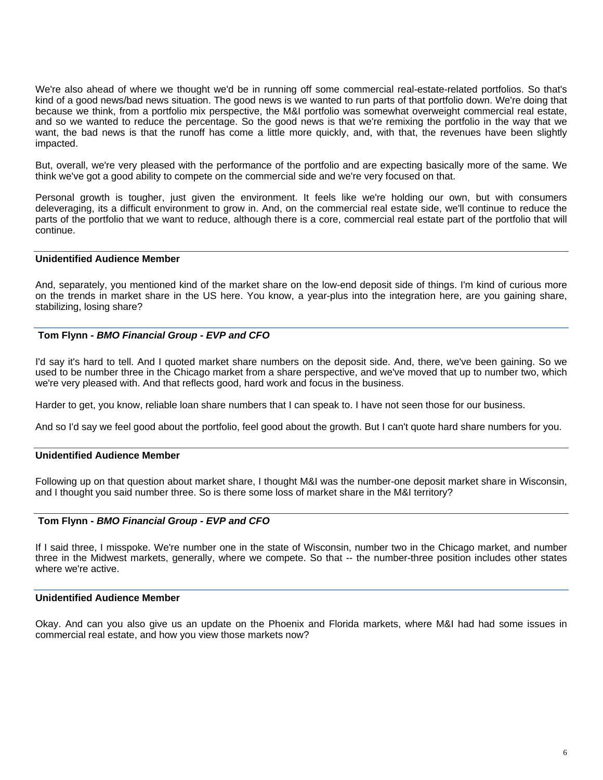We're also ahead of where we thought we'd be in running off some commercial real-estate-related portfolios. So that's kind of a good news/bad news situation. The good news is we wanted to run parts of that portfolio down. We're doing that because we think, from a portfolio mix perspective, the M&I portfolio was somewhat overweight commercial real estate, and so we wanted to reduce the percentage. So the good news is that we're remixing the portfolio in the way that we want, the bad news is that the runoff has come a little more quickly, and, with that, the revenues have been slightly impacted.

But, overall, we're very pleased with the performance of the portfolio and are expecting basically more of the same. We think we've got a good ability to compete on the commercial side and we're very focused on that.

Personal growth is tougher, just given the environment. It feels like we're holding our own, but with consumers deleveraging, its a difficult environment to grow in. And, on the commercial real estate side, we'll continue to reduce the parts of the portfolio that we want to reduce, although there is a core, commercial real estate part of the portfolio that will continue.

#### **Unidentified Audience Member**

And, separately, you mentioned kind of the market share on the low-end deposit side of things. I'm kind of curious more on the trends in market share in the US here. You know, a year-plus into the integration here, are you gaining share, stabilizing, losing share?

# **Tom Flynn -** *BMO Financial Group - EVP and CFO*

I'd say it's hard to tell. And I quoted market share numbers on the deposit side. And, there, we've been gaining. So we used to be number three in the Chicago market from a share perspective, and we've moved that up to number two, which we're very pleased with. And that reflects good, hard work and focus in the business.

Harder to get, you know, reliable loan share numbers that I can speak to. I have not seen those for our business.

And so I'd say we feel good about the portfolio, feel good about the growth. But I can't quote hard share numbers for you.

## **Unidentified Audience Member**

Following up on that question about market share, I thought M&I was the number-one deposit market share in Wisconsin, and I thought you said number three. So is there some loss of market share in the M&I territory?

#### **Tom Flynn -** *BMO Financial Group - EVP and CFO*

If I said three, I misspoke. We're number one in the state of Wisconsin, number two in the Chicago market, and number three in the Midwest markets, generally, where we compete. So that -- the number-three position includes other states where we're active.

## **Unidentified Audience Member**

Okay. And can you also give us an update on the Phoenix and Florida markets, where M&I had had some issues in commercial real estate, and how you view those markets now?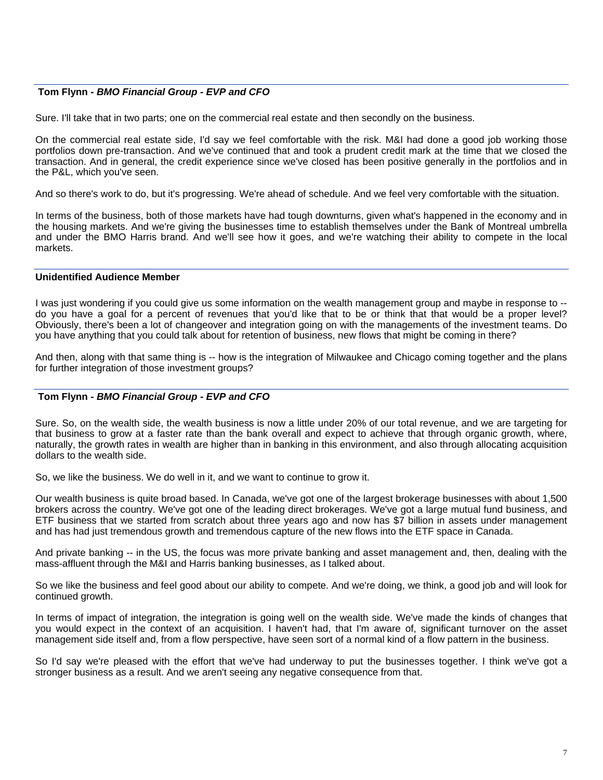# **Tom Flynn -** *BMO Financial Group - EVP and CFO*

Sure. I'll take that in two parts; one on the commercial real estate and then secondly on the business.

On the commercial real estate side, I'd say we feel comfortable with the risk. M&I had done a good job working those portfolios down pre-transaction. And we've continued that and took a prudent credit mark at the time that we closed the transaction. And in general, the credit experience since we've closed has been positive generally in the portfolios and in the P&L, which you've seen.

And so there's work to do, but it's progressing. We're ahead of schedule. And we feel very comfortable with the situation.

In terms of the business, both of those markets have had tough downturns, given what's happened in the economy and in the housing markets. And we're giving the businesses time to establish themselves under the Bank of Montreal umbrella and under the BMO Harris brand. And we'll see how it goes, and we're watching their ability to compete in the local markets.

## **Unidentified Audience Member**

I was just wondering if you could give us some information on the wealth management group and maybe in response to - do you have a goal for a percent of revenues that you'd like that to be or think that that would be a proper level? Obviously, there's been a lot of changeover and integration going on with the managements of the investment teams. Do you have anything that you could talk about for retention of business, new flows that might be coming in there?

And then, along with that same thing is -- how is the integration of Milwaukee and Chicago coming together and the plans for further integration of those investment groups?

## **Tom Flynn -** *BMO Financial Group - EVP and CFO*

Sure. So, on the wealth side, the wealth business is now a little under 20% of our total revenue, and we are targeting for that business to grow at a faster rate than the bank overall and expect to achieve that through organic growth, where, naturally, the growth rates in wealth are higher than in banking in this environment, and also through allocating acquisition dollars to the wealth side.

So, we like the business. We do well in it, and we want to continue to grow it.

Our wealth business is quite broad based. In Canada, we've got one of the largest brokerage businesses with about 1,500 brokers across the country. We've got one of the leading direct brokerages. We've got a large mutual fund business, and ETF business that we started from scratch about three years ago and now has \$7 billion in assets under management and has had just tremendous growth and tremendous capture of the new flows into the ETF space in Canada.

And private banking -- in the US, the focus was more private banking and asset management and, then, dealing with the mass-affluent through the M&I and Harris banking businesses, as I talked about.

So we like the business and feel good about our ability to compete. And we're doing, we think, a good job and will look for continued growth.

In terms of impact of integration, the integration is going well on the wealth side. We've made the kinds of changes that you would expect in the context of an acquisition. I haven't had, that I'm aware of, significant turnover on the asset management side itself and, from a flow perspective, have seen sort of a normal kind of a flow pattern in the business.

So I'd say we're pleased with the effort that we've had underway to put the businesses together. I think we've got a stronger business as a result. And we aren't seeing any negative consequence from that.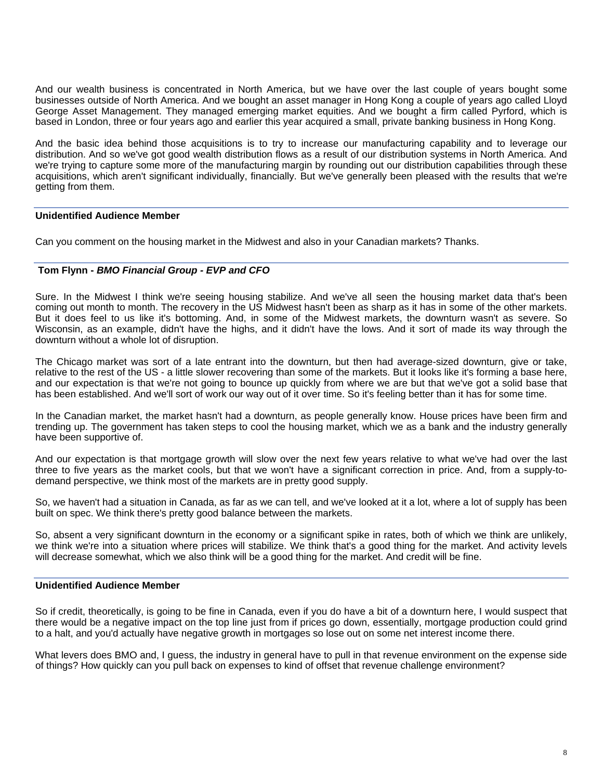And our wealth business is concentrated in North America, but we have over the last couple of years bought some businesses outside of North America. And we bought an asset manager in Hong Kong a couple of years ago called Lloyd George Asset Management. They managed emerging market equities. And we bought a firm called Pyrford, which is based in London, three or four years ago and earlier this year acquired a small, private banking business in Hong Kong.

And the basic idea behind those acquisitions is to try to increase our manufacturing capability and to leverage our distribution. And so we've got good wealth distribution flows as a result of our distribution systems in North America. And we're trying to capture some more of the manufacturing margin by rounding out our distribution capabilities through these acquisitions, which aren't significant individually, financially. But we've generally been pleased with the results that we're getting from them.

## **Unidentified Audience Member**

Can you comment on the housing market in the Midwest and also in your Canadian markets? Thanks.

# **Tom Flynn -** *BMO Financial Group - EVP and CFO*

Sure. In the Midwest I think we're seeing housing stabilize. And we've all seen the housing market data that's been coming out month to month. The recovery in the US Midwest hasn't been as sharp as it has in some of the other markets. But it does feel to us like it's bottoming. And, in some of the Midwest markets, the downturn wasn't as severe. So Wisconsin, as an example, didn't have the highs, and it didn't have the lows. And it sort of made its way through the downturn without a whole lot of disruption.

The Chicago market was sort of a late entrant into the downturn, but then had average-sized downturn, give or take, relative to the rest of the US - a little slower recovering than some of the markets. But it looks like it's forming a base here, and our expectation is that we're not going to bounce up quickly from where we are but that we've got a solid base that has been established. And we'll sort of work our way out of it over time. So it's feeling better than it has for some time.

In the Canadian market, the market hasn't had a downturn, as people generally know. House prices have been firm and trending up. The government has taken steps to cool the housing market, which we as a bank and the industry generally have been supportive of.

And our expectation is that mortgage growth will slow over the next few years relative to what we've had over the last three to five years as the market cools, but that we won't have a significant correction in price. And, from a supply-todemand perspective, we think most of the markets are in pretty good supply.

So, we haven't had a situation in Canada, as far as we can tell, and we've looked at it a lot, where a lot of supply has been built on spec. We think there's pretty good balance between the markets.

So, absent a very significant downturn in the economy or a significant spike in rates, both of which we think are unlikely, we think we're into a situation where prices will stabilize. We think that's a good thing for the market. And activity levels will decrease somewhat, which we also think will be a good thing for the market. And credit will be fine.

## **Unidentified Audience Member**

So if credit, theoretically, is going to be fine in Canada, even if you do have a bit of a downturn here, I would suspect that there would be a negative impact on the top line just from if prices go down, essentially, mortgage production could grind to a halt, and you'd actually have negative growth in mortgages so lose out on some net interest income there.

What levers does BMO and, I guess, the industry in general have to pull in that revenue environment on the expense side of things? How quickly can you pull back on expenses to kind of offset that revenue challenge environment?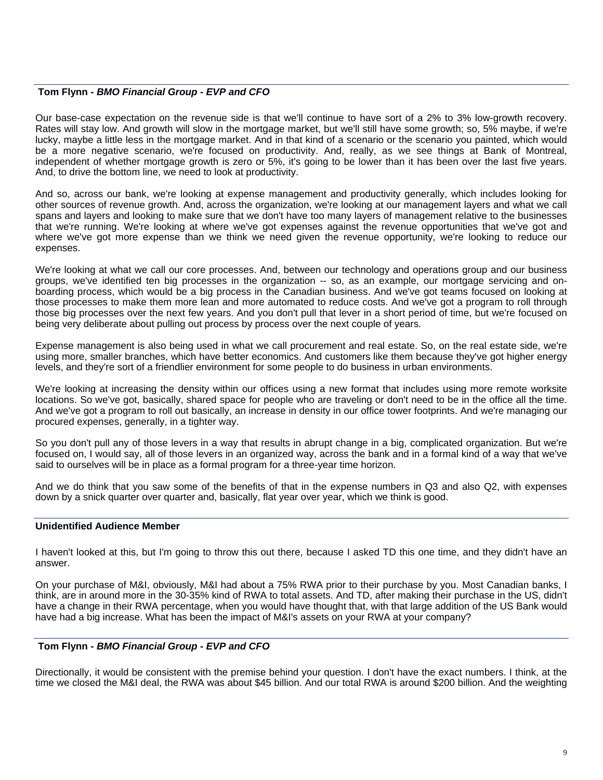# **Tom Flynn -** *BMO Financial Group - EVP and CFO*

Our base-case expectation on the revenue side is that we'll continue to have sort of a 2% to 3% low-growth recovery. Rates will stay low. And growth will slow in the mortgage market, but we'll still have some growth; so, 5% maybe, if we're lucky, maybe a little less in the mortgage market. And in that kind of a scenario or the scenario you painted, which would be a more negative scenario, we're focused on productivity. And, really, as we see things at Bank of Montreal, independent of whether mortgage growth is zero or 5%, it's going to be lower than it has been over the last five years. And, to drive the bottom line, we need to look at productivity.

And so, across our bank, we're looking at expense management and productivity generally, which includes looking for other sources of revenue growth. And, across the organization, we're looking at our management layers and what we call spans and layers and looking to make sure that we don't have too many layers of management relative to the businesses that we're running. We're looking at where we've got expenses against the revenue opportunities that we've got and where we've got more expense than we think we need given the revenue opportunity, we're looking to reduce our expenses.

We're looking at what we call our core processes. And, between our technology and operations group and our business groups, we've identified ten big processes in the organization -- so, as an example, our mortgage servicing and onboarding process, which would be a big process in the Canadian business. And we've got teams focused on looking at those processes to make them more lean and more automated to reduce costs. And we've got a program to roll through those big processes over the next few years. And you don't pull that lever in a short period of time, but we're focused on being very deliberate about pulling out process by process over the next couple of years.

Expense management is also being used in what we call procurement and real estate. So, on the real estate side, we're using more, smaller branches, which have better economics. And customers like them because they've got higher energy levels, and they're sort of a friendlier environment for some people to do business in urban environments.

We're looking at increasing the density within our offices using a new format that includes using more remote worksite locations. So we've got, basically, shared space for people who are traveling or don't need to be in the office all the time. And we've got a program to roll out basically, an increase in density in our office tower footprints. And we're managing our procured expenses, generally, in a tighter way.

So you don't pull any of those levers in a way that results in abrupt change in a big, complicated organization. But we're focused on, I would say, all of those levers in an organized way, across the bank and in a formal kind of a way that we've said to ourselves will be in place as a formal program for a three-year time horizon.

And we do think that you saw some of the benefits of that in the expense numbers in Q3 and also Q2, with expenses down by a snick quarter over quarter and, basically, flat year over year, which we think is good.

## **Unidentified Audience Member**

I haven't looked at this, but I'm going to throw this out there, because I asked TD this one time, and they didn't have an answer.

On your purchase of M&I, obviously, M&I had about a 75% RWA prior to their purchase by you. Most Canadian banks, I think, are in around more in the 30-35% kind of RWA to total assets. And TD, after making their purchase in the US, didn't have a change in their RWA percentage, when you would have thought that, with that large addition of the US Bank would have had a big increase. What has been the impact of M&I's assets on your RWA at your company?

## **Tom Flynn -** *BMO Financial Group - EVP and CFO*

Directionally, it would be consistent with the premise behind your question. I don't have the exact numbers. I think, at the time we closed the M&I deal, the RWA was about \$45 billion. And our total RWA is around \$200 billion. And the weighting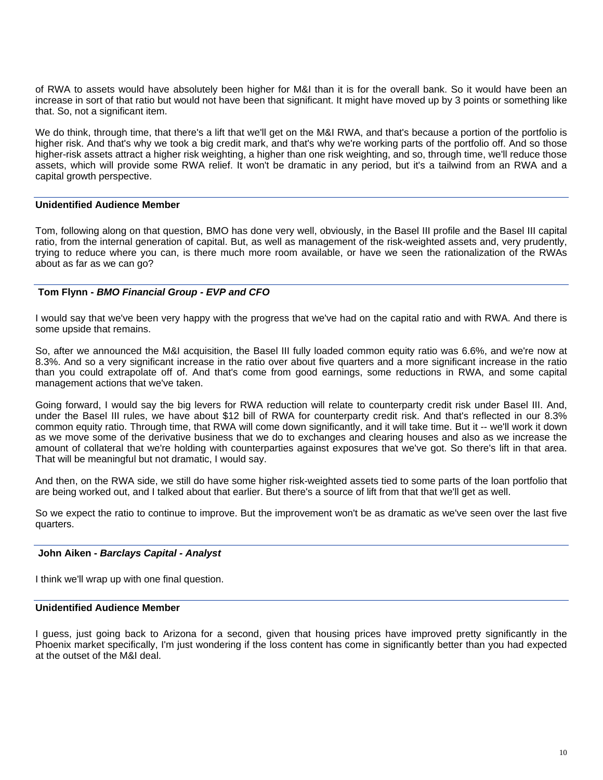of RWA to assets would have absolutely been higher for M&I than it is for the overall bank. So it would have been an increase in sort of that ratio but would not have been that significant. It might have moved up by 3 points or something like that. So, not a significant item.

We do think, through time, that there's a lift that we'll get on the M&I RWA, and that's because a portion of the portfolio is higher risk. And that's why we took a big credit mark, and that's why we're working parts of the portfolio off. And so those higher-risk assets attract a higher risk weighting, a higher than one risk weighting, and so, through time, we'll reduce those assets, which will provide some RWA relief. It won't be dramatic in any period, but it's a tailwind from an RWA and a capital growth perspective.

#### **Unidentified Audience Member**

Tom, following along on that question, BMO has done very well, obviously, in the Basel III profile and the Basel III capital ratio, from the internal generation of capital. But, as well as management of the risk-weighted assets and, very prudently, trying to reduce where you can, is there much more room available, or have we seen the rationalization of the RWAs about as far as we can go?

# **Tom Flynn -** *BMO Financial Group - EVP and CFO*

I would say that we've been very happy with the progress that we've had on the capital ratio and with RWA. And there is some upside that remains.

So, after we announced the M&I acquisition, the Basel III fully loaded common equity ratio was 6.6%, and we're now at 8.3%. And so a very significant increase in the ratio over about five quarters and a more significant increase in the ratio than you could extrapolate off of. And that's come from good earnings, some reductions in RWA, and some capital management actions that we've taken.

Going forward, I would say the big levers for RWA reduction will relate to counterparty credit risk under Basel III. And, under the Basel III rules, we have about \$12 bill of RWA for counterparty credit risk. And that's reflected in our 8.3% common equity ratio. Through time, that RWA will come down significantly, and it will take time. But it -- we'll work it down as we move some of the derivative business that we do to exchanges and clearing houses and also as we increase the amount of collateral that we're holding with counterparties against exposures that we've got. So there's lift in that area. That will be meaningful but not dramatic, I would say.

And then, on the RWA side, we still do have some higher risk-weighted assets tied to some parts of the loan portfolio that are being worked out, and I talked about that earlier. But there's a source of lift from that that we'll get as well.

So we expect the ratio to continue to improve. But the improvement won't be as dramatic as we've seen over the last five quarters.

#### **John Aiken -** *Barclays Capital - Analyst*

I think we'll wrap up with one final question.

#### **Unidentified Audience Member**

I guess, just going back to Arizona for a second, given that housing prices have improved pretty significantly in the Phoenix market specifically, I'm just wondering if the loss content has come in significantly better than you had expected at the outset of the M&I deal.